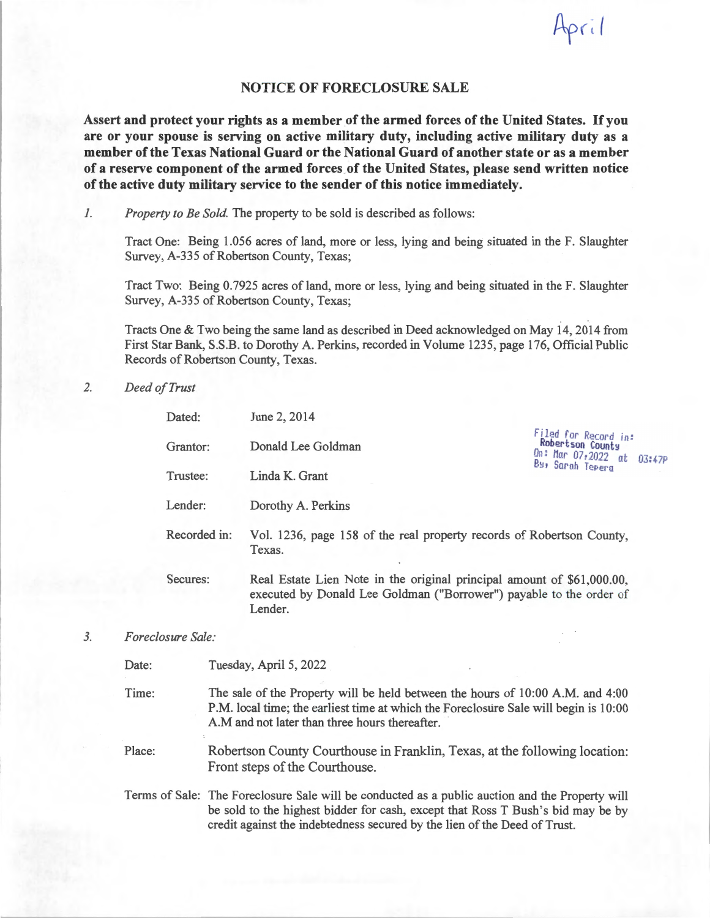## **NOTICE OF FORECLOSURE SALE**

April

**Assert and protect your rights as a member of the armed forces of the United States.** If you **are or your spouse is serving on active military duty, including active military duty as a member of the Texas National Guard or the National Guard of another state or as a member**  of a reserve component of the armed forces of the United States, please send written notice **of the active duty military service to the sender of this notice immediately.** 

*I.* Property to Be Sold. The property to be sold is described as follows:

Tract One: Being 1.056 acres of land, more or less, lying and being situated in the F. Slaughter Survey, A-335 of Robertson County, Texas;

Tract Two: Being 0.7925 acres ofland, more or less, lying and being situated in the F. Slaughter Survey, A-335 of Robertson County, Texas;

Tracts One & Two being the same land as described in Deed acknowledged on May 14, 2014 from First Star Bank, S.S.B. to Dorothy A. Perkins, recorded in Volume 1235, page 176, Official Public Records of Robertson County, Texas.

*2. Deed of Trust* 

| Dated:       | June 2, 2014                                                                                                                                             |                                                                                               |
|--------------|----------------------------------------------------------------------------------------------------------------------------------------------------------|-----------------------------------------------------------------------------------------------|
| Grantor:     | Donald Lee Goldman                                                                                                                                       | Filed for Record in:<br>Robertson County<br>On: Mar $07,2022$ at $03:47P$<br>By, Sarah Tepera |
| Trustee:     | Linda K. Grant                                                                                                                                           |                                                                                               |
| Lender:      | Dorothy A. Perkins                                                                                                                                       |                                                                                               |
| Recorded in: | Vol. 1236, page 158 of the real property records of Robertson County,<br>Texas.                                                                          |                                                                                               |
| Secures:     | Real Estate Lien Note in the original principal amount of \$61,000.00,<br>executed by Donald Lee Goldman ("Borrower") payable to the order of<br>Lender. |                                                                                               |

*3. Foreclosure Sale:* 

Date: Tuesday, April 5, 2022

Time: The sale of the Property will be held between the hours of 10:00 **A.M.** and 4:00 **P.M.** local time; the earliest time at which the Foreclosure Sale will begin is 10:00 A.M and not later than three hours thereafter.

Place: Robertson County Courthouse in Franklin, Texas, at the following location: Front steps of the Courthouse.

Terms of Sale: The Foreclosure Sale will be conducted as a public auction and the Property will be sold to the highest bidder for cash, except that Ross T Bush's bid may be by credit against the indebtedness secured by the lien of the Deed of Trust.